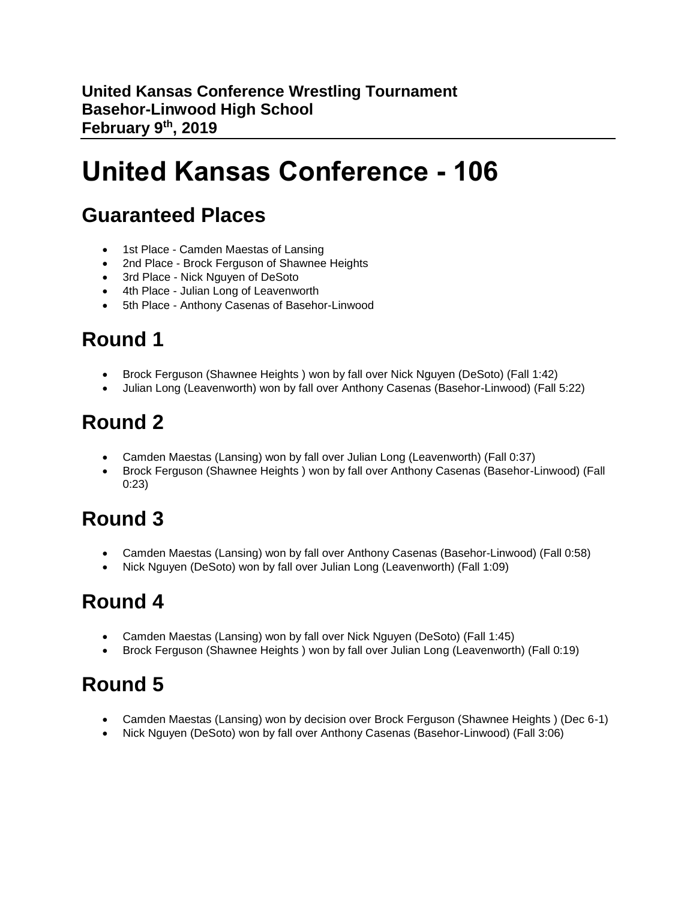**United Kansas Conference Wrestling Tournament Basehor-Linwood High School February 9th, 2019**

# **United Kansas Conference - 106**

#### **Guaranteed Places**

- 1st Place Camden Maestas of Lansing
- 2nd Place Brock Ferguson of Shawnee Heights
- 3rd Place Nick Nguyen of DeSoto
- 4th Place Julian Long of Leavenworth
- 5th Place Anthony Casenas of Basehor-Linwood

### **Round 1**

- Brock Ferguson (Shawnee Heights ) won by fall over Nick Nguyen (DeSoto) (Fall 1:42)
- Julian Long (Leavenworth) won by fall over Anthony Casenas (Basehor-Linwood) (Fall 5:22)

### **Round 2**

- Camden Maestas (Lansing) won by fall over Julian Long (Leavenworth) (Fall 0:37)
- Brock Ferguson (Shawnee Heights ) won by fall over Anthony Casenas (Basehor-Linwood) (Fall 0:23)

### **Round 3**

- Camden Maestas (Lansing) won by fall over Anthony Casenas (Basehor-Linwood) (Fall 0:58)
- Nick Nguyen (DeSoto) won by fall over Julian Long (Leavenworth) (Fall 1:09)

#### **Round 4**

- Camden Maestas (Lansing) won by fall over Nick Nguyen (DeSoto) (Fall 1:45)
- Brock Ferguson (Shawnee Heights ) won by fall over Julian Long (Leavenworth) (Fall 0:19)

- Camden Maestas (Lansing) won by decision over Brock Ferguson (Shawnee Heights ) (Dec 6-1)
- Nick Nguyen (DeSoto) won by fall over Anthony Casenas (Basehor-Linwood) (Fall 3:06)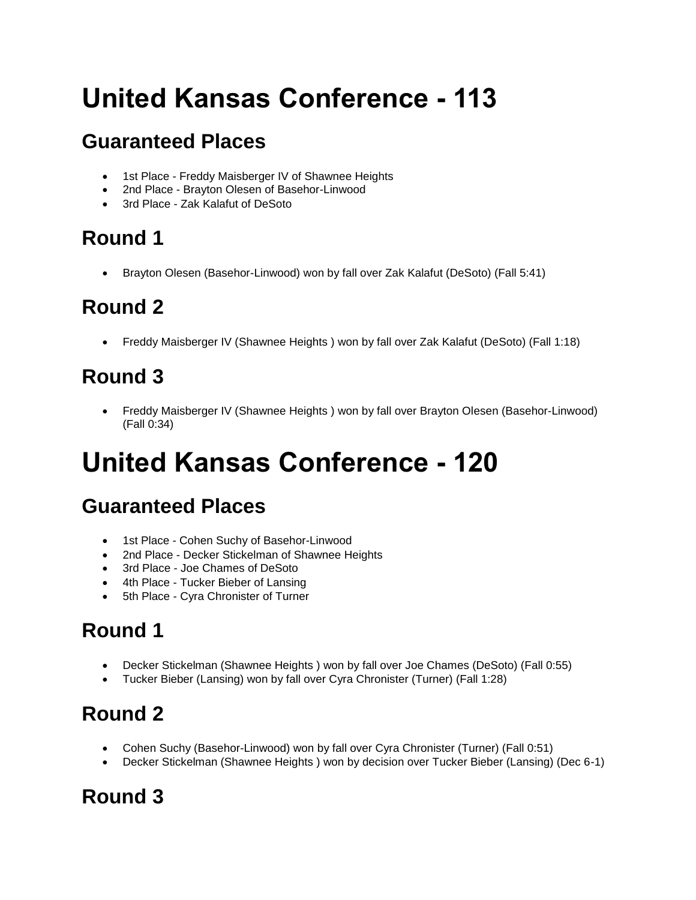# **United Kansas Conference - 113**

### **Guaranteed Places**

- 1st Place Freddy Maisberger IV of Shawnee Heights
- 2nd Place Brayton Olesen of Basehor-Linwood
- 3rd Place Zak Kalafut of DeSoto

# **Round 1**

• Brayton Olesen (Basehor-Linwood) won by fall over Zak Kalafut (DeSoto) (Fall 5:41)

# **Round 2**

• Freddy Maisberger IV (Shawnee Heights ) won by fall over Zak Kalafut (DeSoto) (Fall 1:18)

# **Round 3**

• Freddy Maisberger IV (Shawnee Heights ) won by fall over Brayton Olesen (Basehor-Linwood) (Fall 0:34)

# **United Kansas Conference - 120**

### **Guaranteed Places**

- 1st Place Cohen Suchy of Basehor-Linwood
- 2nd Place Decker Stickelman of Shawnee Heights
- 3rd Place Joe Chames of DeSoto
- 4th Place Tucker Bieber of Lansing
- 5th Place Cyra Chronister of Turner

# **Round 1**

- Decker Stickelman (Shawnee Heights ) won by fall over Joe Chames (DeSoto) (Fall 0:55)
- Tucker Bieber (Lansing) won by fall over Cyra Chronister (Turner) (Fall 1:28)

#### **Round 2**

- Cohen Suchy (Basehor-Linwood) won by fall over Cyra Chronister (Turner) (Fall 0:51)
- Decker Stickelman (Shawnee Heights ) won by decision over Tucker Bieber (Lansing) (Dec 6-1)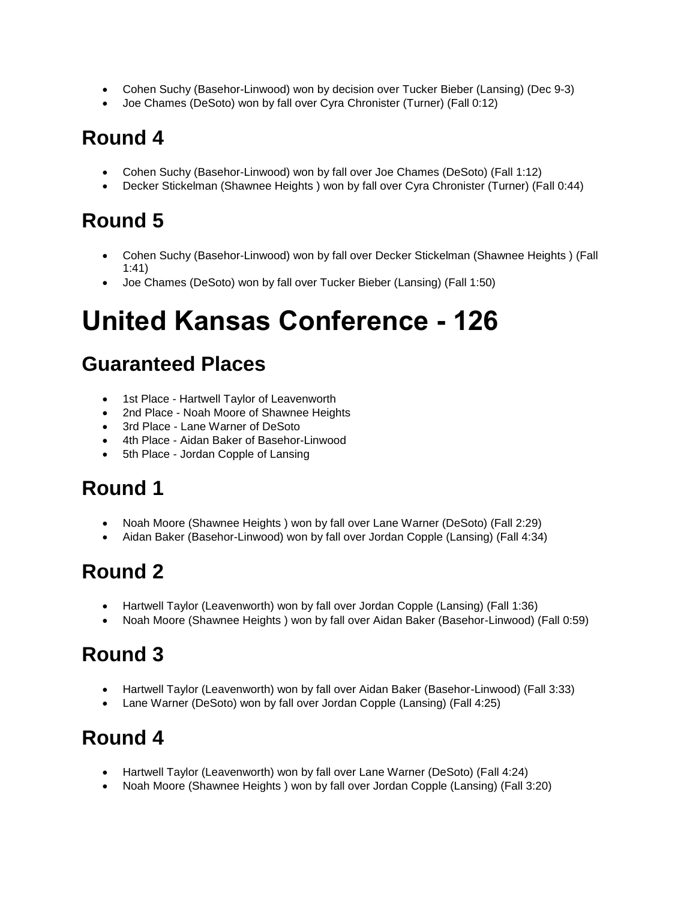- Cohen Suchy (Basehor-Linwood) won by decision over Tucker Bieber (Lansing) (Dec 9-3)
- Joe Chames (DeSoto) won by fall over Cyra Chronister (Turner) (Fall 0:12)

- Cohen Suchy (Basehor-Linwood) won by fall over Joe Chames (DeSoto) (Fall 1:12)
- Decker Stickelman (Shawnee Heights ) won by fall over Cyra Chronister (Turner) (Fall 0:44)

# **Round 5**

- Cohen Suchy (Basehor-Linwood) won by fall over Decker Stickelman (Shawnee Heights ) (Fall 1:41)
- Joe Chames (DeSoto) won by fall over Tucker Bieber (Lansing) (Fall 1:50)

# **United Kansas Conference - 126**

#### **Guaranteed Places**

- 1st Place Hartwell Taylor of Leavenworth
- 2nd Place Noah Moore of Shawnee Heights
- 3rd Place Lane Warner of DeSoto
- 4th Place Aidan Baker of Basehor-Linwood
- 5th Place Jordan Copple of Lansing

### **Round 1**

- Noah Moore (Shawnee Heights ) won by fall over Lane Warner (DeSoto) (Fall 2:29)
- Aidan Baker (Basehor-Linwood) won by fall over Jordan Copple (Lansing) (Fall 4:34)

### **Round 2**

- Hartwell Taylor (Leavenworth) won by fall over Jordan Copple (Lansing) (Fall 1:36)
- Noah Moore (Shawnee Heights ) won by fall over Aidan Baker (Basehor-Linwood) (Fall 0:59)

### **Round 3**

- Hartwell Taylor (Leavenworth) won by fall over Aidan Baker (Basehor-Linwood) (Fall 3:33)
- Lane Warner (DeSoto) won by fall over Jordan Copple (Lansing) (Fall 4:25)

- Hartwell Taylor (Leavenworth) won by fall over Lane Warner (DeSoto) (Fall 4:24)
- Noah Moore (Shawnee Heights ) won by fall over Jordan Copple (Lansing) (Fall 3:20)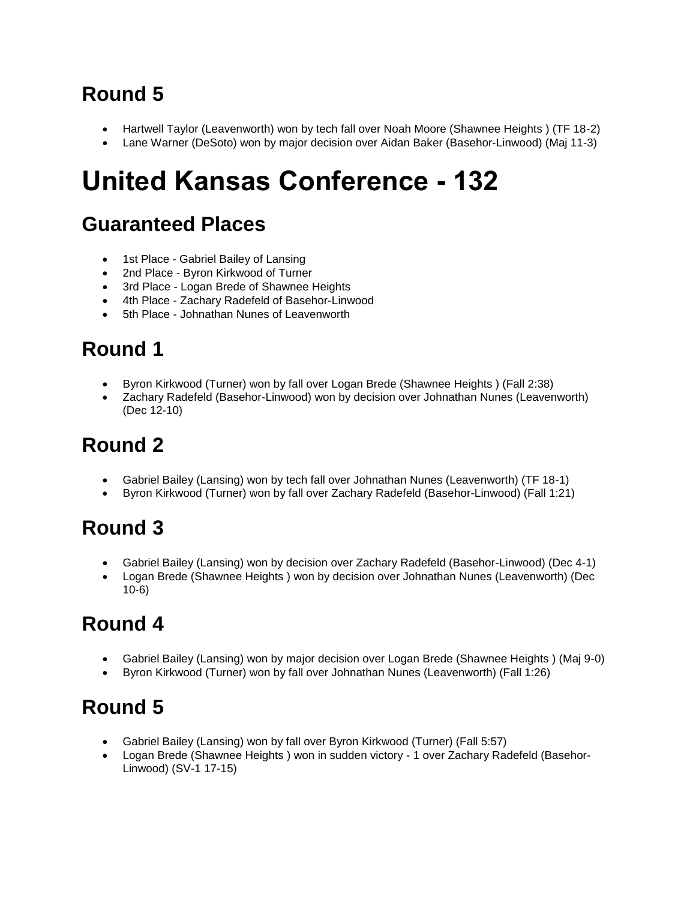- Hartwell Taylor (Leavenworth) won by tech fall over Noah Moore (Shawnee Heights) (TF 18-2)
- Lane Warner (DeSoto) won by major decision over Aidan Baker (Basehor-Linwood) (Maj 11-3)

# **United Kansas Conference - 132**

#### **Guaranteed Places**

- 1st Place Gabriel Bailey of Lansing
- 2nd Place Byron Kirkwood of Turner
- 3rd Place Logan Brede of Shawnee Heights
- 4th Place Zachary Radefeld of Basehor-Linwood
- 5th Place Johnathan Nunes of Leavenworth

# **Round 1**

- Byron Kirkwood (Turner) won by fall over Logan Brede (Shawnee Heights ) (Fall 2:38)
- Zachary Radefeld (Basehor-Linwood) won by decision over Johnathan Nunes (Leavenworth) (Dec 12-10)

# **Round 2**

- Gabriel Bailey (Lansing) won by tech fall over Johnathan Nunes (Leavenworth) (TF 18-1)
- Byron Kirkwood (Turner) won by fall over Zachary Radefeld (Basehor-Linwood) (Fall 1:21)

# **Round 3**

- Gabriel Bailey (Lansing) won by decision over Zachary Radefeld (Basehor-Linwood) (Dec 4-1)
- Logan Brede (Shawnee Heights ) won by decision over Johnathan Nunes (Leavenworth) (Dec 10-6)

# **Round 4**

- Gabriel Bailey (Lansing) won by major decision over Logan Brede (Shawnee Heights ) (Maj 9-0)
- Byron Kirkwood (Turner) won by fall over Johnathan Nunes (Leavenworth) (Fall 1:26)

- Gabriel Bailey (Lansing) won by fall over Byron Kirkwood (Turner) (Fall 5:57)
- Logan Brede (Shawnee Heights ) won in sudden victory 1 over Zachary Radefeld (Basehor-Linwood) (SV-1 17-15)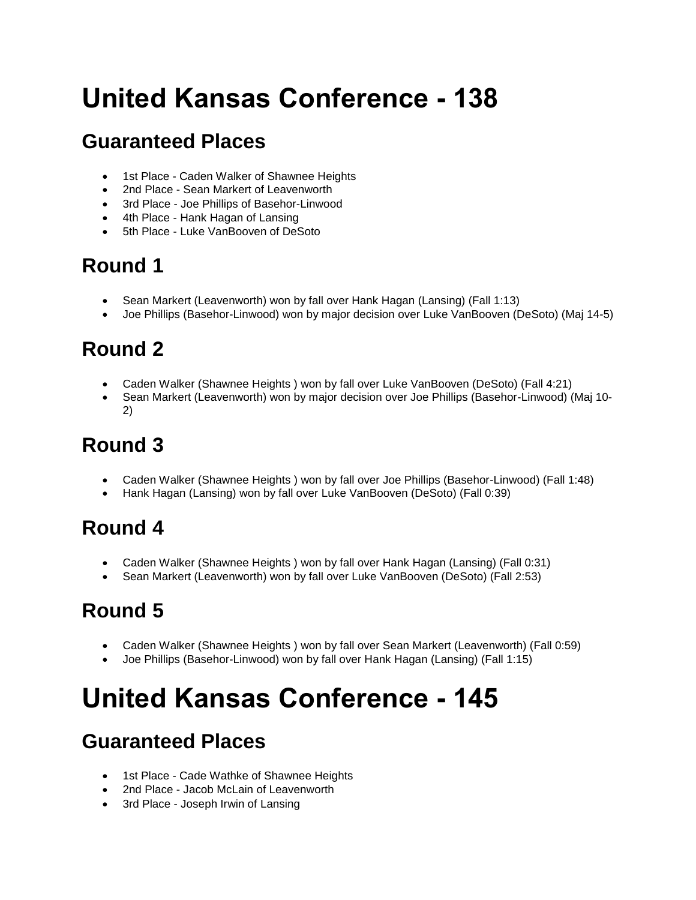# **United Kansas Conference - 138**

### **Guaranteed Places**

- 1st Place Caden Walker of Shawnee Heights
- 2nd Place Sean Markert of Leavenworth
- 3rd Place Joe Phillips of Basehor-Linwood
- 4th Place Hank Hagan of Lansing
- 5th Place Luke VanBooven of DeSoto

### **Round 1**

- Sean Markert (Leavenworth) won by fall over Hank Hagan (Lansing) (Fall 1:13)
- Joe Phillips (Basehor-Linwood) won by major decision over Luke VanBooven (DeSoto) (Maj 14-5)

# **Round 2**

- Caden Walker (Shawnee Heights) won by fall over Luke VanBooven (DeSoto) (Fall 4:21)
- Sean Markert (Leavenworth) won by major decision over Joe Phillips (Basehor-Linwood) (Maj 10- 2)

# **Round 3**

- Caden Walker (Shawnee Heights ) won by fall over Joe Phillips (Basehor-Linwood) (Fall 1:48)
- Hank Hagan (Lansing) won by fall over Luke VanBooven (DeSoto) (Fall 0:39)

### **Round 4**

- Caden Walker (Shawnee Heights ) won by fall over Hank Hagan (Lansing) (Fall 0:31)
- Sean Markert (Leavenworth) won by fall over Luke VanBooven (DeSoto) (Fall 2:53)

# **Round 5**

- Caden Walker (Shawnee Heights ) won by fall over Sean Markert (Leavenworth) (Fall 0:59)
- Joe Phillips (Basehor-Linwood) won by fall over Hank Hagan (Lansing) (Fall 1:15)

# **United Kansas Conference - 145**

### **Guaranteed Places**

- 1st Place Cade Wathke of Shawnee Heights
- 2nd Place Jacob McLain of Leavenworth
- 3rd Place Joseph Irwin of Lansing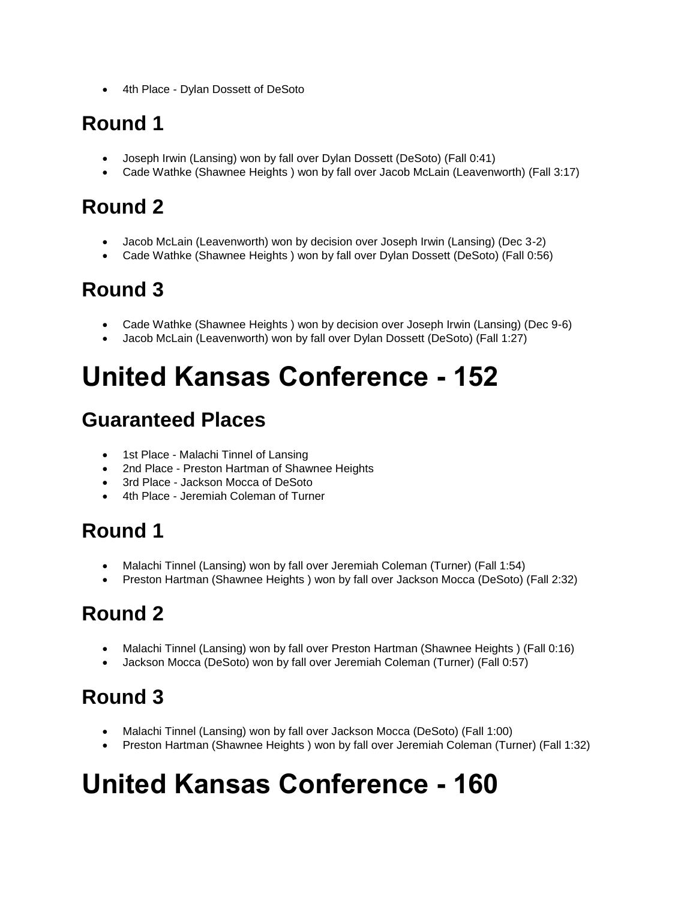• 4th Place - Dylan Dossett of DeSoto

#### **Round 1**

- Joseph Irwin (Lansing) won by fall over Dylan Dossett (DeSoto) (Fall 0:41)
- Cade Wathke (Shawnee Heights) won by fall over Jacob McLain (Leavenworth) (Fall 3:17)

### **Round 2**

- Jacob McLain (Leavenworth) won by decision over Joseph Irwin (Lansing) (Dec 3-2)
- Cade Wathke (Shawnee Heights ) won by fall over Dylan Dossett (DeSoto) (Fall 0:56)

#### **Round 3**

- Cade Wathke (Shawnee Heights ) won by decision over Joseph Irwin (Lansing) (Dec 9-6)
- Jacob McLain (Leavenworth) won by fall over Dylan Dossett (DeSoto) (Fall 1:27)

# **United Kansas Conference - 152**

#### **Guaranteed Places**

- 1st Place Malachi Tinnel of Lansing
- 2nd Place Preston Hartman of Shawnee Heights
- 3rd Place Jackson Mocca of DeSoto
- 4th Place Jeremiah Coleman of Turner

#### **Round 1**

- Malachi Tinnel (Lansing) won by fall over Jeremiah Coleman (Turner) (Fall 1:54)
- Preston Hartman (Shawnee Heights ) won by fall over Jackson Mocca (DeSoto) (Fall 2:32)

### **Round 2**

- Malachi Tinnel (Lansing) won by fall over Preston Hartman (Shawnee Heights ) (Fall 0:16)
- Jackson Mocca (DeSoto) won by fall over Jeremiah Coleman (Turner) (Fall 0:57)

### **Round 3**

- Malachi Tinnel (Lansing) won by fall over Jackson Mocca (DeSoto) (Fall 1:00)
- Preston Hartman (Shawnee Heights ) won by fall over Jeremiah Coleman (Turner) (Fall 1:32)

# **United Kansas Conference - 160**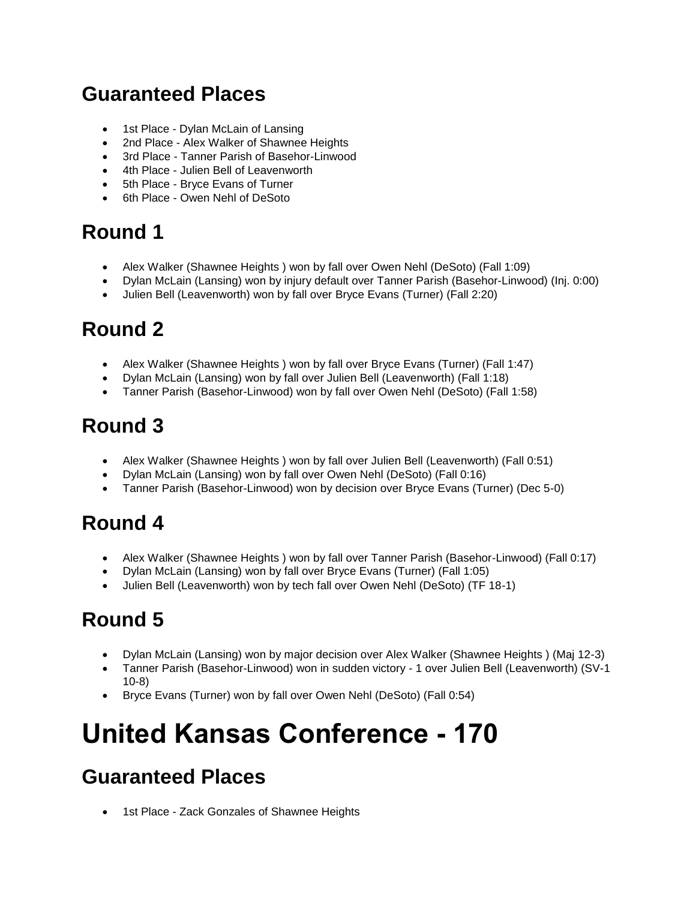#### **Guaranteed Places**

- 1st Place Dylan McLain of Lansing
- 2nd Place Alex Walker of Shawnee Heights
- 3rd Place Tanner Parish of Basehor-Linwood
- 4th Place Julien Bell of Leavenworth
- 5th Place Bryce Evans of Turner
- 6th Place Owen Nehl of DeSoto

#### **Round 1**

- Alex Walker (Shawnee Heights ) won by fall over Owen Nehl (DeSoto) (Fall 1:09)
- Dylan McLain (Lansing) won by injury default over Tanner Parish (Basehor-Linwood) (Inj. 0:00)
- Julien Bell (Leavenworth) won by fall over Bryce Evans (Turner) (Fall 2:20)

#### **Round 2**

- Alex Walker (Shawnee Heights ) won by fall over Bryce Evans (Turner) (Fall 1:47)
- Dylan McLain (Lansing) won by fall over Julien Bell (Leavenworth) (Fall 1:18)
- Tanner Parish (Basehor-Linwood) won by fall over Owen Nehl (DeSoto) (Fall 1:58)

#### **Round 3**

- Alex Walker (Shawnee Heights ) won by fall over Julien Bell (Leavenworth) (Fall 0:51)
- Dylan McLain (Lansing) won by fall over Owen Nehl (DeSoto) (Fall 0:16)
- Tanner Parish (Basehor-Linwood) won by decision over Bryce Evans (Turner) (Dec 5-0)

### **Round 4**

- Alex Walker (Shawnee Heights ) won by fall over Tanner Parish (Basehor-Linwood) (Fall 0:17)
- Dylan McLain (Lansing) won by fall over Bryce Evans (Turner) (Fall 1:05)
- Julien Bell (Leavenworth) won by tech fall over Owen Nehl (DeSoto) (TF 18-1)

### **Round 5**

- Dylan McLain (Lansing) won by major decision over Alex Walker (Shawnee Heights ) (Maj 12-3)
- Tanner Parish (Basehor-Linwood) won in sudden victory 1 over Julien Bell (Leavenworth) (SV-1 10-8)
- Bryce Evans (Turner) won by fall over Owen Nehl (DeSoto) (Fall 0:54)

# **United Kansas Conference - 170**

#### **Guaranteed Places**

• 1st Place - Zack Gonzales of Shawnee Heights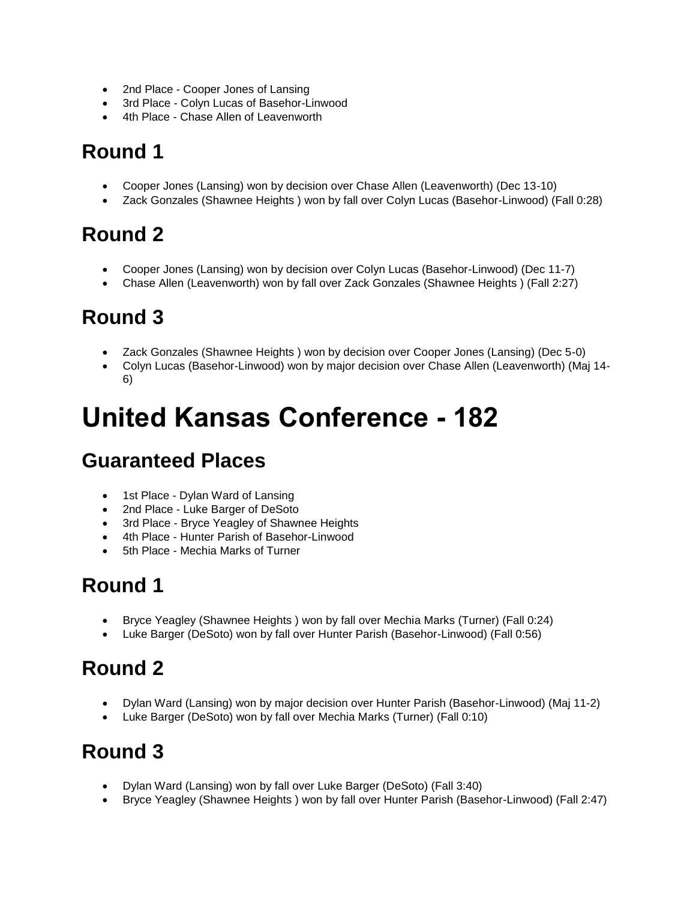- 2nd Place Cooper Jones of Lansing
- 3rd Place Colyn Lucas of Basehor-Linwood
- 4th Place Chase Allen of Leavenworth

- Cooper Jones (Lansing) won by decision over Chase Allen (Leavenworth) (Dec 13-10)
- Zack Gonzales (Shawnee Heights ) won by fall over Colyn Lucas (Basehor-Linwood) (Fall 0:28)

#### **Round 2**

- Cooper Jones (Lansing) won by decision over Colyn Lucas (Basehor-Linwood) (Dec 11-7)
- Chase Allen (Leavenworth) won by fall over Zack Gonzales (Shawnee Heights ) (Fall 2:27)

#### **Round 3**

- Zack Gonzales (Shawnee Heights ) won by decision over Cooper Jones (Lansing) (Dec 5-0)
- Colyn Lucas (Basehor-Linwood) won by major decision over Chase Allen (Leavenworth) (Maj 14- 6)

# **United Kansas Conference - 182**

#### **Guaranteed Places**

- 1st Place Dylan Ward of Lansing
- 2nd Place Luke Barger of DeSoto
- 3rd Place Bryce Yeagley of Shawnee Heights
- 4th Place Hunter Parish of Basehor-Linwood
- 5th Place Mechia Marks of Turner

#### **Round 1**

- Bryce Yeagley (Shawnee Heights ) won by fall over Mechia Marks (Turner) (Fall 0:24)
- Luke Barger (DeSoto) won by fall over Hunter Parish (Basehor-Linwood) (Fall 0:56)

#### **Round 2**

- Dylan Ward (Lansing) won by major decision over Hunter Parish (Basehor-Linwood) (Maj 11-2)
- Luke Barger (DeSoto) won by fall over Mechia Marks (Turner) (Fall 0:10)

- Dylan Ward (Lansing) won by fall over Luke Barger (DeSoto) (Fall 3:40)
- Bryce Yeagley (Shawnee Heights ) won by fall over Hunter Parish (Basehor-Linwood) (Fall 2:47)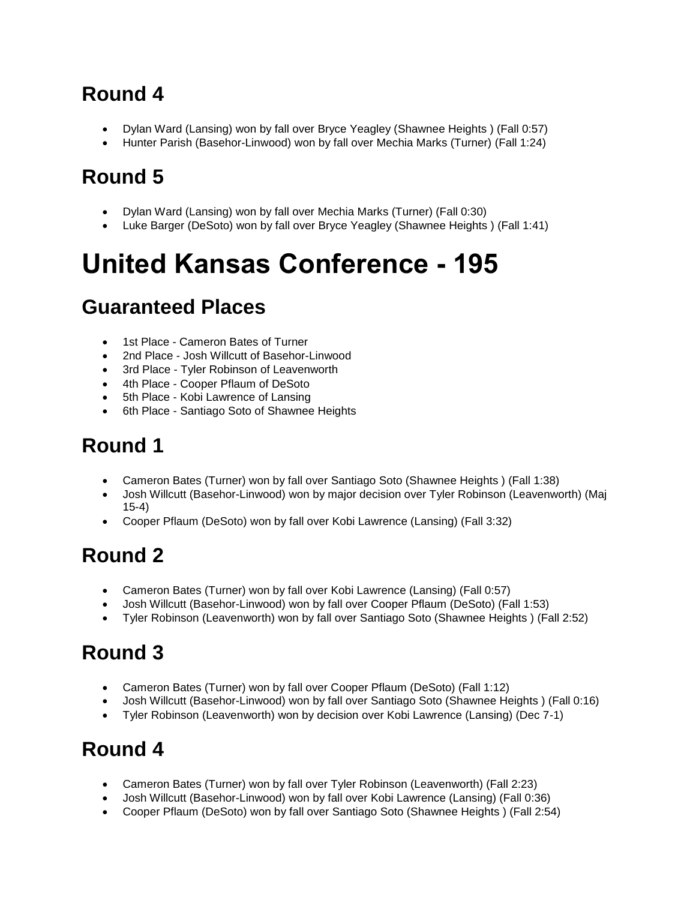- Dylan Ward (Lansing) won by fall over Bryce Yeagley (Shawnee Heights ) (Fall 0:57)
- Hunter Parish (Basehor-Linwood) won by fall over Mechia Marks (Turner) (Fall 1:24)

### **Round 5**

- Dylan Ward (Lansing) won by fall over Mechia Marks (Turner) (Fall 0:30)
- Luke Barger (DeSoto) won by fall over Bryce Yeagley (Shawnee Heights ) (Fall 1:41)

# **United Kansas Conference - 195**

#### **Guaranteed Places**

- 1st Place Cameron Bates of Turner
- 2nd Place Josh Willcutt of Basehor-Linwood
- 3rd Place Tyler Robinson of Leavenworth
- 4th Place Cooper Pflaum of DeSoto
- 5th Place Kobi Lawrence of Lansing
- 6th Place Santiago Soto of Shawnee Heights

## **Round 1**

- Cameron Bates (Turner) won by fall over Santiago Soto (Shawnee Heights ) (Fall 1:38)
- Josh Willcutt (Basehor-Linwood) won by major decision over Tyler Robinson (Leavenworth) (Maj 15-4)
- Cooper Pflaum (DeSoto) won by fall over Kobi Lawrence (Lansing) (Fall 3:32)

# **Round 2**

- Cameron Bates (Turner) won by fall over Kobi Lawrence (Lansing) (Fall 0:57)
- Josh Willcutt (Basehor-Linwood) won by fall over Cooper Pflaum (DeSoto) (Fall 1:53)
- Tyler Robinson (Leavenworth) won by fall over Santiago Soto (Shawnee Heights ) (Fall 2:52)

# **Round 3**

- Cameron Bates (Turner) won by fall over Cooper Pflaum (DeSoto) (Fall 1:12)
- Josh Willcutt (Basehor-Linwood) won by fall over Santiago Soto (Shawnee Heights ) (Fall 0:16)
- Tyler Robinson (Leavenworth) won by decision over Kobi Lawrence (Lansing) (Dec 7-1)

- Cameron Bates (Turner) won by fall over Tyler Robinson (Leavenworth) (Fall 2:23)
- Josh Willcutt (Basehor-Linwood) won by fall over Kobi Lawrence (Lansing) (Fall 0:36)
- Cooper Pflaum (DeSoto) won by fall over Santiago Soto (Shawnee Heights ) (Fall 2:54)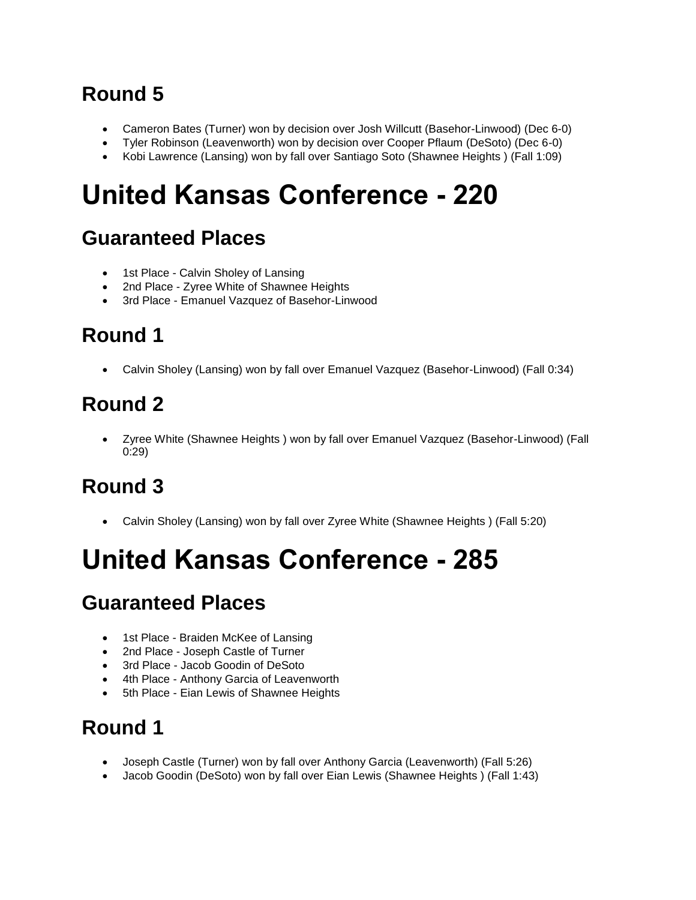- Cameron Bates (Turner) won by decision over Josh Willcutt (Basehor-Linwood) (Dec 6-0)
- Tyler Robinson (Leavenworth) won by decision over Cooper Pflaum (DeSoto) (Dec 6-0)
- Kobi Lawrence (Lansing) won by fall over Santiago Soto (Shawnee Heights ) (Fall 1:09)

# **United Kansas Conference - 220**

### **Guaranteed Places**

- 1st Place Calvin Sholey of Lansing
- 2nd Place Zyree White of Shawnee Heights
- 3rd Place Emanuel Vazquez of Basehor-Linwood

# **Round 1**

• Calvin Sholey (Lansing) won by fall over Emanuel Vazquez (Basehor-Linwood) (Fall 0:34)

### **Round 2**

• Zyree White (Shawnee Heights ) won by fall over Emanuel Vazquez (Basehor-Linwood) (Fall 0:29)

### **Round 3**

• Calvin Sholey (Lansing) won by fall over Zyree White (Shawnee Heights ) (Fall 5:20)

# **United Kansas Conference - 285**

#### **Guaranteed Places**

- 1st Place Braiden McKee of Lansing
- 2nd Place Joseph Castle of Turner
- 3rd Place Jacob Goodin of DeSoto
- 4th Place Anthony Garcia of Leavenworth
- 5th Place Eian Lewis of Shawnee Heights

- Joseph Castle (Turner) won by fall over Anthony Garcia (Leavenworth) (Fall 5:26)
- Jacob Goodin (DeSoto) won by fall over Eian Lewis (Shawnee Heights ) (Fall 1:43)